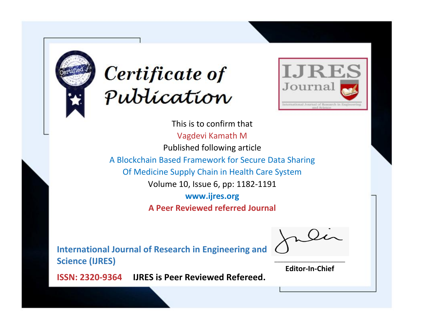



This is to confirm that Vagdevi Kamath M Published following article A Blockchain Based Framework for Secure Data Sharing Of Medicine Supply Chain in Health Care System Volume 10, Issue 6, pp: 1182-1191 **www.ijres.org A Peer Reviewed referred Journal**

**International Journal of Research in Engineering and Science (IJRES)**

\_\_\_\_\_\_\_\_\_\_\_\_\_\_\_\_\_\_\_\_\_\_\_\_ **Editor-In-Chief**

**Journal.**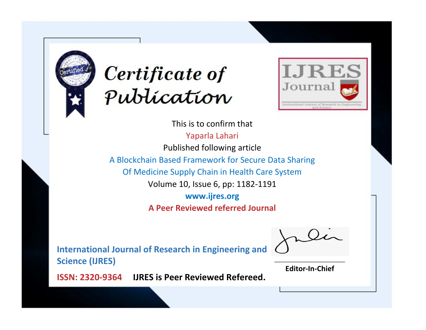



This is to confirm that Yaparla Lahari Published following article A Blockchain Based Framework for Secure Data Sharing Of Medicine Supply Chain in Health Care System Volume 10, Issue 6, pp: 1182-1191 **www.ijres.org A Peer Reviewed referred Journal**

**International Journal of Research in Engineering and Science (IJRES)**

\_\_\_\_\_\_\_\_\_\_\_\_\_\_\_\_\_\_\_\_\_\_\_\_ **Editor-In-Chief**

**Journal.**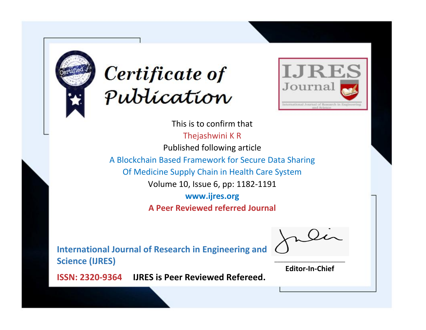



This is to confirm that Thejashwini K R Published following article A Blockchain Based Framework for Secure Data Sharing Of Medicine Supply Chain in Health Care System Volume 10, Issue 6, pp: 1182-1191 **www.ijres.org A Peer Reviewed referred Journal**

**International Journal of Research in Engineering and Science (IJRES)**

\_\_\_\_\_\_\_\_\_\_\_\_\_\_\_\_\_\_\_\_\_\_\_\_ **Editor-In-Chief**

**Journal.**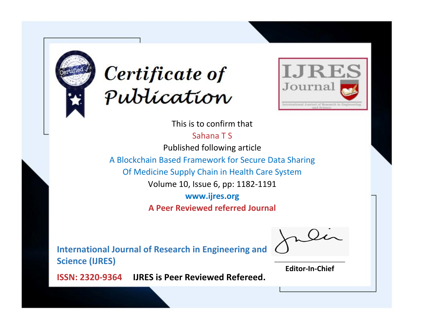



This is to confirm that

Sahana T S

Published following article

A Blockchain Based Framework for Secure Data Sharing

Of Medicine Supply Chain in Health Care System

Volume 10, Issue 6, pp: 1182-1191

**www.ijres.org**

**A Peer Reviewed referred Journal**

**International Journal of Research in Engineering and Science (IJRES)**

\_\_\_\_\_\_\_\_\_\_\_\_\_\_\_\_\_\_\_\_\_\_\_\_ **Editor-In-Chief**

**Journal.**